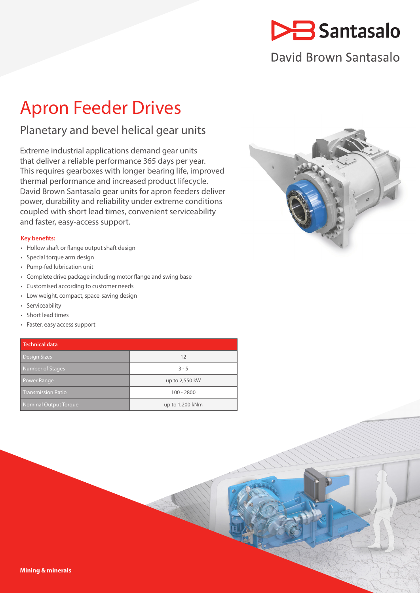

# David Brown Santasalo

# Apron Feeder Drives

## Planetary and bevel helical gear units

Extreme industrial applications demand gear units that deliver a reliable performance 365 days per year. This requires gearboxes with longer bearing life, improved thermal performance and increased product lifecycle. David Brown Santasalo gear units for apron feeders deliver power, durability and reliability under extreme conditions coupled with short lead times, convenient serviceability and faster, easy-access support.

### **Key benefits:**

- Hollow shaft or flange output shaft design
- Special torque arm design
- Pump-fed lubrication unit
- Complete drive package including motor flange and swing base
- Customised according to customer needs
- Low weight, compact, space-saving design
- Serviceability
- Short lead times
- Faster, easy access support

| <b>Technical data</b>        |                 |
|------------------------------|-----------------|
| Design Sizes                 | 12              |
| Number of Stages             | $3 - 5$         |
| <b>Power Range</b>           | up to 2,550 kW  |
| <b>Transmission Ratio</b>    | $100 - 2800$    |
| <b>Nominal Output Torque</b> | up to 1,200 kNm |